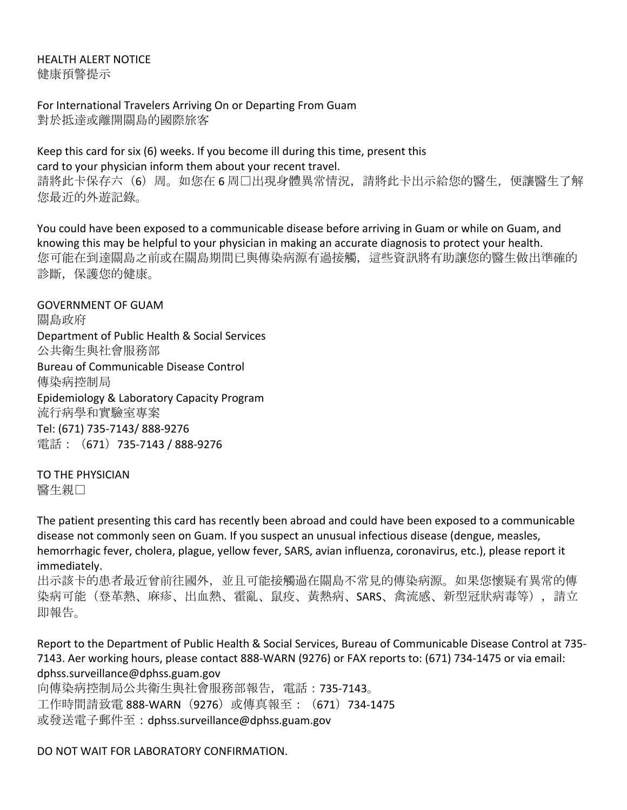## HEALTH ALFRT NOTICF 健康預警提示

For International Travelers Arriving On or Departing From Guam 對於抵達或離開關島的國際旅客

Keep this card for six (6) weeks. If you become ill during this time, present this card to your physician inform them about your recent travel. 請將此卡保存六(6)周。如您在6周口出現身體異常情況,請將此卡出示給您的醫生,便讓醫生了解 您最近的外遊記錄。

You could have been exposed to a communicable disease before arriving in Guam or while on Guam, and knowing this may be helpful to your physician in making an accurate diagnosis to protect your health. 您可能在到達關島之前或在關島期間已與傳染病源有過接觸,這些資訊將有助讓您的醫生做出準確的 診斷,保護您的健康。

**GOVERNMENT OF GUAM** 關島政府 Department of Public Health & Social Services 公共衛生與社會服務部 Bureau of Communicable Disease Control 傳染病控制局 Epidemiology & Laboratory Capacity Program 流行病學和實驗室專案 Tel: (671) 735-7143/ 888-9276 電話: (671) 735-7143 / 888-9276

TO THE PHYSICIAN 醫生親□

The patient presenting this card has recently been abroad and could have been exposed to a communicable disease not commonly seen on Guam. If you suspect an unusual infectious disease (dengue, measles, hemorrhagic fever, cholera, plague, yellow fever, SARS, avian influenza, coronavirus, etc.), please report it immediately.

出示該卡的患者最近曾前往國外,並且可能接觸過在關島不常見的傳染病源。如果您懷疑有異常的傳 染病可能(登革熱、麻疹、出血熱、霍亂、鼠疫、黃熱病、SARS、禽流感、新型冠狀病毒等),請立 即報告。

Report to the Department of Public Health & Social Services, Bureau of Communicable Disease Control at 735-7143. Aer working hours, please contact 888-WARN (9276) or FAX reports to: (671) 734-1475 or via email: dphss.surveillance@dphss.guam.gov 向傳染病控制局公共衛生與社會服務部報告,電話:735-7143。

工作時間請致電 888-WARN(9276)或傳真報至: (671)734-1475

或發送電子郵件至:dphss.surveillance@dphss.guam.gov

DO NOT WAIT FOR LABORATORY CONFIRMATION.